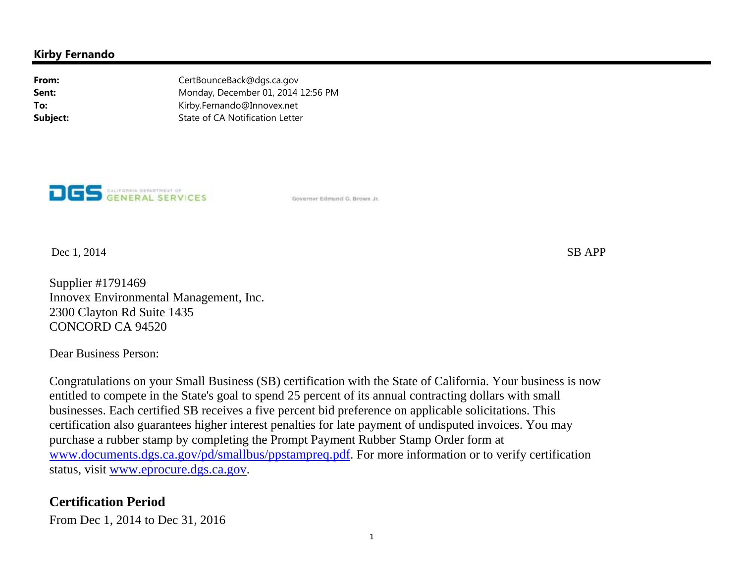#### **Kirby Fernando**

**From:** CertBounceBack@dgs.ca.gov **Sent:** Monday, December 01, 2014 12:56 PM **To:** Kirby.Fernando@Innovex.net **Subject:** State of CA Notification Letter



Governor Edmund G. Brows Jr.

 $\Box$  Dec 1, 2014 SB APP

Supplier #1791469 Innovex Environmental Management, Inc. 2300 Clayton Rd Suite 1435 CONCORD CA 94520

Dear Business Person:

Congratulations on your Small Business (SB) certification with the State of California. Your business is now entitled to compete in the State's goal to spend 25 percent of its annual contracting dollars with small businesses. Each certified SB receives a five percent bid preference on applicable solicitations. This certification also guarantees higher interest penalties for late payment of undisputed invoices. You may purchase a rubber stamp by completing the Prompt Payment Rubber Stamp Order form at www.documents.dgs.ca.gov/pd/smallbus/ppstampreq.pdf. For more information or to verify certification status, visit www.eprocure.dgs.ca.gov.

#### **Certification Period**

From Dec 1, 2014 to Dec 31, 2016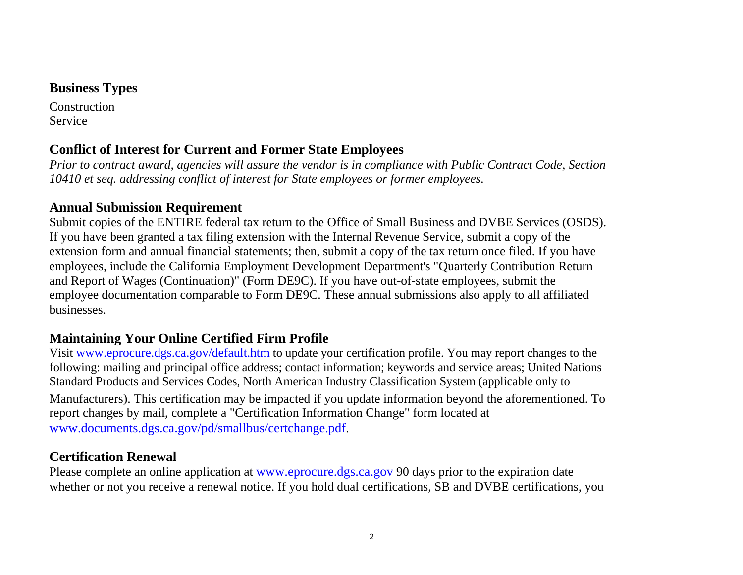### **Business Types**

**Construction** Service

## **Conflict of Interest for Current and Former State Employees**

*Prior to contract award, agencies will assure the vendor is in compliance with Public Contract Code, Section 10410 et seq. addressing conflict of interest for State employees or former employees.*

#### **Annual Submission Requirement**

Submit copies of the ENTIRE federal tax return to the Office of Small Business and DVBE Services (OSDS). If you have been granted a tax filing extension with the Internal Revenue Service, submit a copy of the extension form and annual financial statements; then, submit a copy of the tax return once filed. If you have employees, include the California Employment Development Department's "Quarterly Contribution Return and Report of Wages (Continuation)" (Form DE9C). If you have out-of-state employees, submit the employee documentation comparable to Form DE9C. These annual submissions also apply to all affiliated businesses.

# **Maintaining Your Online Certified Firm Profile**

Visit www.eprocure.dgs.ca.gov/default.htm to update your certification profile. You may report changes to the following: mailing and principal office address; contact information; keywords and service areas; United Nations Standard Products and Services Codes, North American Industry Classification System (applicable only to Manufacturers). This certification may be impacted if you update information beyond the aforementioned. To report changes by mail, complete a "Certification Information Change" form located at www.documents.dgs.ca.gov/pd/smallbus/certchange.pdf.

## **Certification Renewal**

Please complete an online application at www.eprocure.dgs.ca.gov 90 days prior to the expiration date whether or not you receive a renewal notice. If you hold dual certifications, SB and DVBE certifications, you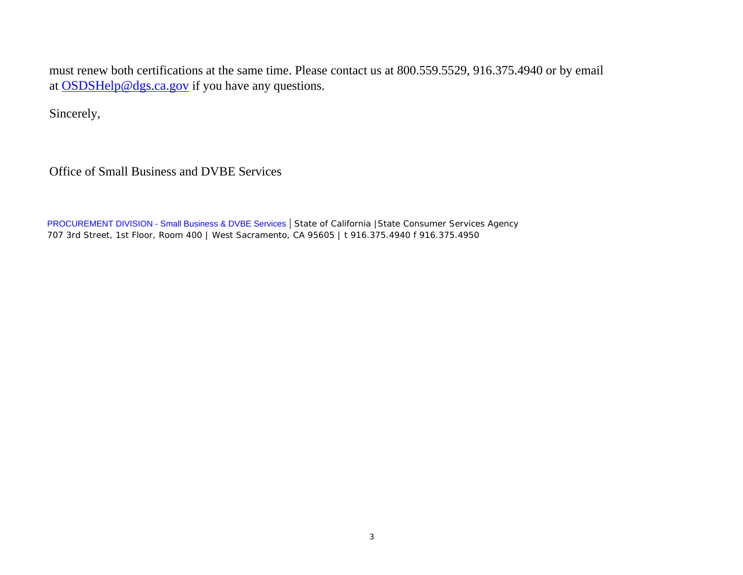must renew both certifications at the same time. Please contact us at 800.559.5529, 916.375.4940 or by email at OSDSHelp@dgs.ca.gov if you have any questions.

Sincerely,

Office of Small Business and DVBE Services

PROCUREMENT DIVISION - Small Business & DVBE Services | *State of California |State Consumer Services Agency 707 3rd Street, 1st Floor, Room 400 | West Sacramento, CA 95605 | t 916.375.4940 f 916.375.4950*